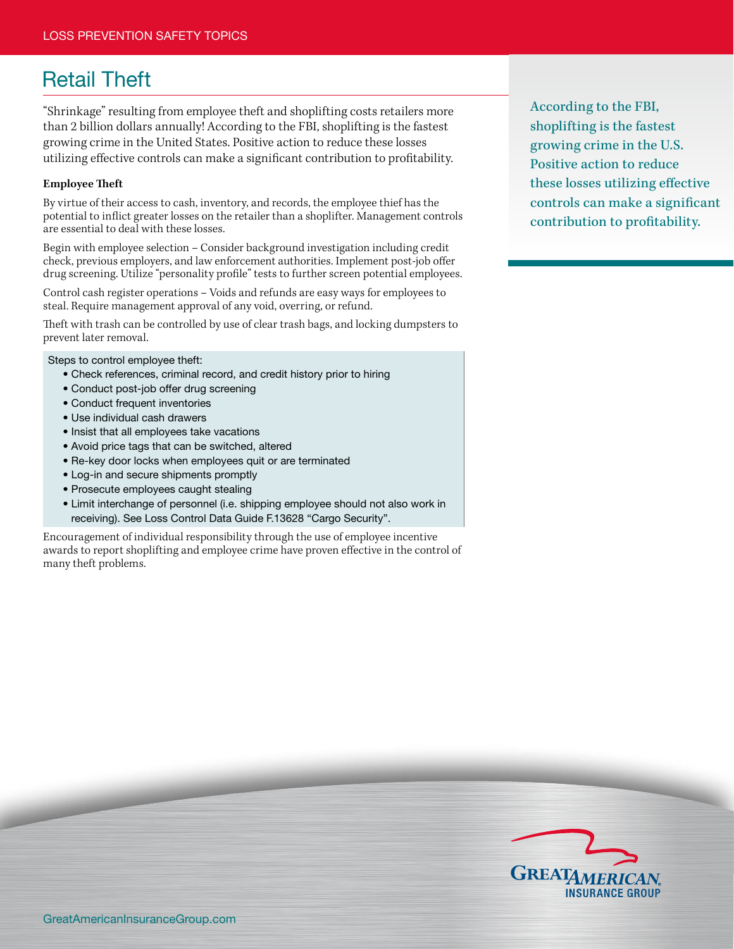## Retail Theft

"Shrinkage" resulting from employee theft and shoplifting costs retailers more than 2 billion dollars annually! According to the FBI, shoplifting is the fastest growing crime in the United States. Positive action to reduce these losses utilizing effective controls can make a significant contribution to profitability.

## **Employee Theft**

By virtue of their access to cash, inventory, and records, the employee thief has the potential to inflict greater losses on the retailer than a shoplifter. Management controls are essential to deal with these losses.

Begin with employee selection – Consider background investigation including credit check, previous employers, and law enforcement authorities. Implement post-job offer drug screening. Utilize "personality profile" tests to further screen potential employees.

Control cash register operations – Voids and refunds are easy ways for employees to steal. Require management approval of any void, overring, or refund.

Theft with trash can be controlled by use of clear trash bags, and locking dumpsters to prevent later removal.

Steps to control employee theft:

- Check references, criminal record, and credit history prior to hiring
- Conduct post-job offer drug screening
- Conduct frequent inventories
- Use individual cash drawers
- Insist that all employees take vacations
- Avoid price tags that can be switched, altered
- Re-key door locks when employees quit or are terminated
- Log-in and secure shipments promptly
- Prosecute employees caught stealing
- Limit interchange of personnel (i.e. shipping employee should not also work in receiving). See Loss Control Data Guide F.13628 "Cargo Security".

Encouragement of individual responsibility through the use of employee incentive awards to report shoplifting and employee crime have proven effective in the control of many theft problems.

According to the FBI, shoplifting is the fastest growing crime in the U.S. Positive action to reduce these losses utilizing effective controls can make a significant contribution to profitability.